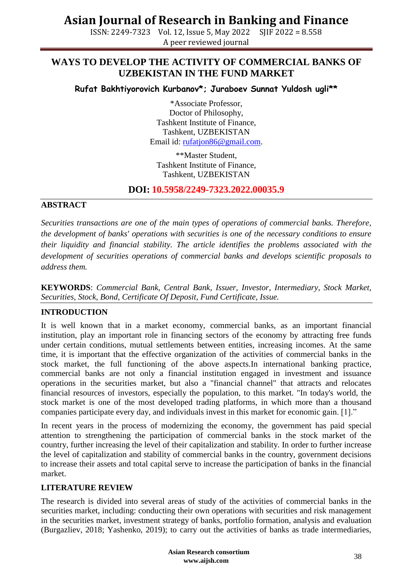ISSN: 2249-7323 Vol. 12, Issue 5, May 2022 SJIF 2022 = 8.558 A peer reviewed journal

## **WAYS TO DEVELOP THE ACTIVITY OF COMMERCIAL BANKS OF UZBEKISTAN IN THE FUND MARKET**

**Rufat Bakhtiyorovich Kurbanov\*; Juraboev Sunnat Yuldosh ugli\*\***

\*Associate Professor, Doctor of Philosophy, Tashkent Institute of Finance, Tashkent, UZBEKISTAN Email id: [rufatjon86@gmail.com.](mailto:rufatjon86@gmail.com)

\*\*Master Student, Tashkent Institute of Finance, Tashkent, UZBEKISTAN

### **DOI: 10.5958/2249-7323.2022.00035.9**

### **ABSTRACT**

*Securities transactions are one of the main types of operations of commercial banks. Therefore, the development of banks' operations with securities is one of the necessary conditions to ensure their liquidity and financial stability. The article identifies the problems associated with the development of securities operations of commercial banks and develops scientific proposals to address them.*

**KEYWORDS**: *Commercial Bank, Central Bank, Issuer, Investor, Intermediary, Stock Market, Securities, Stock, Bond, Certificate Of Deposit, Fund Certificate, Issue.*

### **INTRODUCTION**

It is well known that in a market economy, commercial banks, as an important financial institution, play an important role in financing sectors of the economy by attracting free funds under certain conditions, mutual settlements between entities, increasing incomes. At the same time, it is important that the effective organization of the activities of commercial banks in the stock market, the full functioning of the above aspects.In international banking practice, commercial banks are not only a financial institution engaged in investment and issuance operations in the securities market, but also a "financial channel" that attracts and relocates financial resources of investors, especially the population, to this market. "In today's world, the stock market is one of the most developed trading platforms, in which more than a thousand companies participate every day, and individuals invest in this market for economic gain. [1]."

In recent years in the process of modernizing the economy, the government has paid special attention to strengthening the participation of commercial banks in the stock market of the country, further increasing the level of their capitalization and stability. In order to further increase the level of capitalization and stability of commercial banks in the country, government decisions to increase their assets and total capital serve to increase the participation of banks in the financial market.

#### **LITERATURE REVIEW**

The research is divided into several areas of study of the activities of commercial banks in the securities market, including: conducting their own operations with securities and risk management in the securities market, investment strategy of banks, portfolio formation, analysis and evaluation (Burgazliev, 2018; Yashenko, 2019); to carry out the activities of banks as trade intermediaries,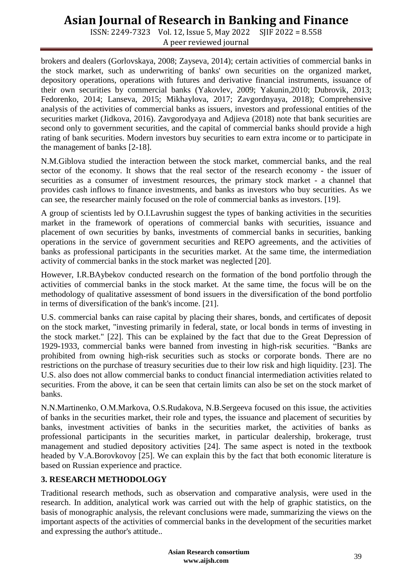ISSN: 2249-7323 Vol. 12, Issue 5, May 2022 SJIF 2022 = 8.558 A peer reviewed journal

brokers and dealers (Gorlovskaya, 2008; Zayseva, 2014); certain activities of commercial banks in the stock market, such as underwriting of banks' own securities on the organized market, depository operations, operations with futures and derivative financial instruments, issuance of their own securities by commercial banks (Yakovlev, 2009; Yakunin,2010; Dubrovik, 2013; Fedorenko, 2014; Lanseva, 2015; Mikhaylova, 2017; Zavgordnyaya, 2018); Comprehensive analysis of the activities of commercial banks as issuers, investors and professional entities of the securities market (Jidkova, 2016). Zavgorodyaya and Adjieva (2018) note that bank securities are second only to government securities, and the capital of commercial banks should provide a high rating of bank securities. Modern investors buy securities to earn extra income or to participate in the management of banks [2-18].

N.M.Giblova studied the interaction between the stock market, commercial banks, and the real sector of the economy. It shows that the real sector of the research economy - the issuer of securities as a consumer of investment resources, the primary stock market - a channel that provides cash inflows to finance investments, and banks as investors who buy securities. As we can see, the researcher mainly focused on the role of commercial banks as investors. [19].

A group of scientists led by O.I.Lavrushin suggest the types of banking activities in the securities market in the framework of operations of commercial banks with securities, issuance and placement of own securities by banks, investments of commercial banks in securities, banking operations in the service of government securities and REPO agreements, and the activities of banks as professional participants in the securities market. At the same time, the intermediation activity of commercial banks in the stock market was neglected [20].

However, I.R.BAybekov conducted research on the formation of the bond portfolio through the activities of commercial banks in the stock market. At the same time, the focus will be on the methodology of qualitative assessment of bond issuers in the diversification of the bond portfolio in terms of diversification of the bank's income. [21].

U.S. commercial banks can raise capital by placing their shares, bonds, and certificates of deposit on the stock market, "investing primarily in federal, state, or local bonds in terms of investing in the stock market." [22]. This can be explained by the fact that due to the Great Depression of 1929-1933, commercial banks were banned from investing in high-risk securities. "Banks are prohibited from owning high-risk securities such as stocks or corporate bonds. There are no restrictions on the purchase of treasury securities due to their low risk and high liquidity. [23]. The U.S. also does not allow commercial banks to conduct financial intermediation activities related to securities. From the above, it can be seen that certain limits can also be set on the stock market of banks.

N.N.Martinenko, О.М.Markova, О.S.Rudakova, N.В.Sergeeva focused on this issue, the activities of banks in the securities market, their role and types, the issuance and placement of securities by banks, investment activities of banks in the securities market, the activities of banks as professional participants in the securities market, in particular dealership, brokerage, trust management and studied depository activities [24]. The same aspect is noted in the textbook headed by V.A.Borovkovoy [25]. We can explain this by the fact that both economic literature is based on Russian experience and practice.

### **3. RESEARCH METHODOLOGY**

Traditional research methods, such as observation and comparative analysis, were used in the research. In addition, analytical work was carried out with the help of graphic statistics, on the basis of monographic analysis, the relevant conclusions were made, summarizing the views on the important aspects of the activities of commercial banks in the development of the securities market and expressing the author's attitude..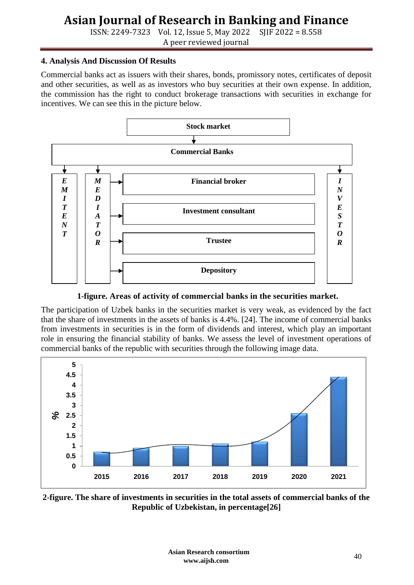ISSN: 2249-7323 Vol. 12, Issue 5, May 2022 SJIF 2022 = 8.558 A peer reviewed journal

#### **4. Analysis And Discussion Of Results**

Commercial banks act as issuers with their shares, bonds, promissory notes, certificates of deposit and other securities, as well as as investors who buy securities at their own expense. In addition, the commission has the right to conduct brokerage transactions with securities in exchange for incentives. We can see this in the picture below.



**1-figure. Areas of activity of commercial banks in the securities market.**

The participation of Uzbek banks in the securities market is very weak, as evidenced by the fact that the share of investments in the assets of banks is 4.4%. [24]. The income of commercial banks from investments in securities is in the form of dividends and interest, which play an important role in ensuring the financial stability of banks. We assess the level of investment operations of commercial banks of the republic with securities through the following image data.



**2-figure. The share of investments in securities in the total assets of commercial banks of the Republic of Uzbekistan, in percentage[26]**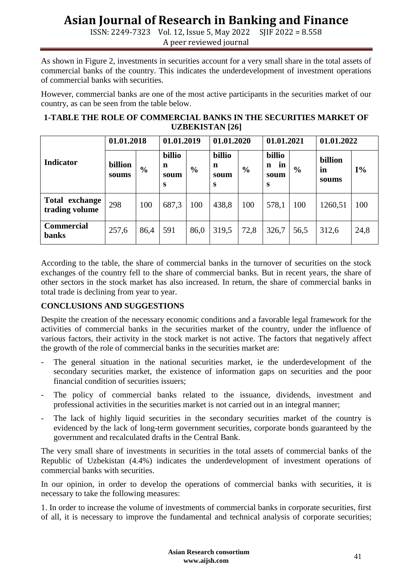ISSN: 2249-7323 Vol. 12, Issue 5, May 2022 SJIF 2022 = 8.558 A peer reviewed journal

As shown in Figure 2, investments in securities account for a very small share in the total assets of commercial banks of the country. This indicates the underdevelopment of investment operations of commercial banks with securities.

However, commercial banks are one of the most active participants in the securities market of our country, as can be seen from the table below.

| <b>1-TABLE THE ROLE OF COMMERCIAL BANKS IN THE SECURITIES MARKET OF</b> |
|-------------------------------------------------------------------------|
| <b>UZBEKISTAN</b> [26]                                                  |

| <b>Indicator</b>                  | 01.01.2018       |               | 01.01.2019               |               | 01.01.2020               |               | 01.01.2021                     |               | 01.01.2022             |       |
|-----------------------------------|------------------|---------------|--------------------------|---------------|--------------------------|---------------|--------------------------------|---------------|------------------------|-------|
|                                   | billion<br>soums | $\frac{6}{6}$ | billio<br>n<br>soum<br>S | $\frac{6}{6}$ | billio<br>n<br>soum<br>S | $\frac{6}{6}$ | billio<br>in<br>n<br>soum<br>S | $\frac{6}{6}$ | billion<br>in<br>soums | $I\%$ |
| Total exchange<br>trading volume  | 298              | 100           | 687,3                    | 100           | 438,8                    | 100           | 578,1                          | 100           | 1260,51                | 100   |
| <b>Commercial</b><br><b>banks</b> | 257,6            | 86,4          | 591                      | 86,0          | 319,5                    | 72,8          | 326,7                          | 56,5          | 312,6                  | 24,8  |

According to the table, the share of commercial banks in the turnover of securities on the stock exchanges of the country fell to the share of commercial banks. But in recent years, the share of other sectors in the stock market has also increased. In return, the share of commercial banks in total trade is declining from year to year.

### **CONCLUSIONS AND SUGGESTIONS**

Despite the creation of the necessary economic conditions and a favorable legal framework for the activities of commercial banks in the securities market of the country, under the influence of various factors, their activity in the stock market is not active. The factors that negatively affect the growth of the role of commercial banks in the securities market are:

- The general situation in the national securities market, ie the underdevelopment of the secondary securities market, the existence of information gaps on securities and the poor financial condition of securities issuers;
- The policy of commercial banks related to the issuance, dividends, investment and professional activities in the securities market is not carried out in an integral manner;
- The lack of highly liquid securities in the secondary securities market of the country is evidenced by the lack of long-term government securities, corporate bonds guaranteed by the government and recalculated drafts in the Central Bank.

The very small share of investments in securities in the total assets of commercial banks of the Republic of Uzbekistan (4.4%) indicates the underdevelopment of investment operations of commercial banks with securities.

In our opinion, in order to develop the operations of commercial banks with securities, it is necessary to take the following measures:

1. In order to increase the volume of investments of commercial banks in corporate securities, first of all, it is necessary to improve the fundamental and technical analysis of corporate securities;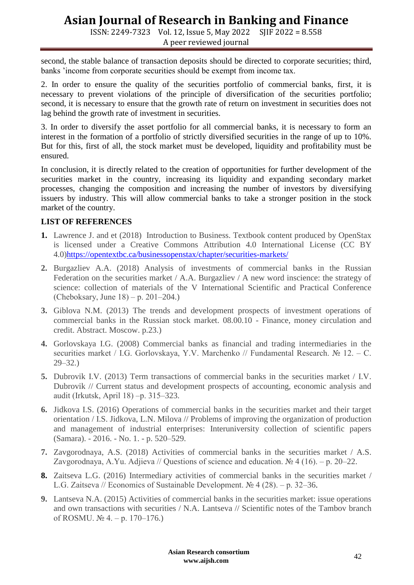ISSN: 2249-7323 Vol. 12, Issue 5, May 2022 SJIF 2022 = 8.558 A peer reviewed journal

second, the stable balance of transaction deposits should be directed to corporate securities; third, banks 'income from corporate securities should be exempt from income tax.

2. In order to ensure the quality of the securities portfolio of commercial banks, first, it is necessary to prevent violations of the principle of diversification of the securities portfolio; second, it is necessary to ensure that the growth rate of return on investment in securities does not lag behind the growth rate of investment in securities.

3. In order to diversify the asset portfolio for all commercial banks, it is necessary to form an interest in the formation of a portfolio of strictly diversified securities in the range of up to 10%. But for this, first of all, the stock market must be developed, liquidity and profitability must be ensured.

In conclusion, it is directly related to the creation of opportunities for further development of the securities market in the country, increasing its liquidity and expanding secondary market processes, changing the composition and increasing the number of investors by diversifying issuers by industry. This will allow commercial banks to take a stronger position in the stock market of the country.

#### **LIST OF REFERENCES**

- **1.** Lawrence J. and et (2018) Introduction to Business. Textbook content produced by OpenStax is licensed under a Creative Commons Attribution 4.0 International License (CC BY 4.0[\)https://opentextbc.ca/businessopenstax/chapter/securities-markets/](https://opentextbc.ca/businessopenstax/chapter/securities-markets/)
- **2.** Burgazliev A.A. (2018) Analysis of investments of commercial banks in the Russian Federation on the securities market / A.A. Burgazliev / A new word inscience: the strategy of science: collection of materials of the V International Scientific and Practical Conference (Cheboksary, June  $18$ ) – p. 201–204.)
- **3.** Giblova N.M. (2013) The trends and development prospects of investment operations of commercial banks in the Russian stock market. 08.00.10 - Finance, money circulation and credit. Abstract. Moscow. p.23.)
- **4.** Gorlovskaya I.G. (2008) Commercial banks as financial and trading intermediaries in the securities market / I.G. Gorlovskaya, Y.V. Marchenko // Fundamental Research. № 12. – C. 29–32.)
- **5.** Dubrovik I.V. (2013) Term transactions of commercial banks in the securities market / I.V. Dubrovik // Current status and development prospects of accounting, economic analysis and audit (Irkutsk, April 18) ‒p. 315–323.
- **6.** Jidkova I.S. (2016) Operations of commercial banks in the securities market and their target orientation / I.S. Jidkova, L.N. Milova // Problems of improving the organization of production and management of industrial enterprises: Interuniversity collection of scientific papers (Samara). - 2016. - No. 1. - p. 520–529.
- **7.** Zavgorodnaya, A.S. (2018) Activities of commercial banks in the securities market / A.S. Zavgorodnaya, A.Yu. Adjieva // Questions of science and education.  $\mathcal{N}_2$  4 (16). – p. 20–22.
- **8.** Zaitseva L.G. (2016) Intermediary activities of commercial banks in the securities market / L.G. Zaitseva // Economics of Sustainable Development.  $\mathbb{N}$  4 (28). – p. 32–36.
- **9.** Lantseva N.A. (2015) Activities of commercial banks in the securities market: issue operations and own transactions with securities / N.A. Lantseva // Scientific notes of the Tambov branch of ROSMU.  $\mathcal{N}_2$  4. – p. 170–176.)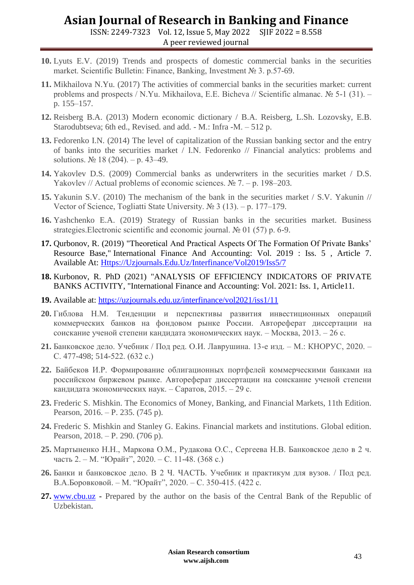ISSN: 2249-7323 Vol. 12, Issue 5, May 2022 SJIF 2022 = 8.558 A peer reviewed journal

- **10.** Lyuts E.V. (2019) Trends and prospects of domestic commercial banks in the securities market. Scientific Bulletin: Finance, Banking, Investment № 3. p.57-69.
- **11.** Mikhailova N.Yu. (2017) The activities of commercial banks in the securities market: current problems and prospects / N.Yu. Mikhailova, E.E. Bicheva // Scientific almanac.  $\mathbb{N}^{\circ}$  5-1 (31). – p. 155–157.
- **12.** Reisberg B.A. (2013) Modern economic dictionary / B.A. Reisberg, L.Sh. Lozovsky, E.B. Starodubtseva; 6th ed., Revised. and add. - M.: Infra -М. – 512 p.
- **13.** Fedorenko I.N. (2014) The level of capitalization of the Russian banking sector and the entry of banks into the securities market / I.N. Fedorenko // Financial analytics: problems and solutions. № 18 (204). – p. 43–49.
- **14.** Yakovlev D.S. (2009) Commercial banks as underwriters in the securities market / D.S. Yakovlev // Actual problems of economic sciences. № 7. – p. 198–203.
- **15.** Yakunin S.V. (2010) The mechanism of the bank in the securities market / S.V. Yakunin // Vector of Science, Togliatti State University. № 3 (13). ‒ p. 177–179.
- **16.** Yashchenko E.A. (2019) Strategy of Russian banks in the securities market. Business strategies.Electronic scientific and economic journal. № 01 (57) p. 6-9.
- **17.** Qurbonov, R. (2019) "Theoretical And Practical Aspects Of The Formation Of Private Banks' Resource Base," International Finance And Accounting: Vol. 2019 : Iss. 5 , Article 7. Available At: [Https://Uzjournals.Edu.Uz/Interfinance/Vol2019/Iss5/7](https://uzjournals.edu.uz/interfinance/vol2019/iss5/7)
- **18.** Kurbonov, R. PhD (2021) "ANALYSIS OF EFFICIENCY INDICATORS OF PRIVATE BANKS ACTIVITY, "International Finance and Accounting: Vol. 2021: Iss. 1, Article11.
- **19.** Available at:<https://uzjournals.edu.uz/interfinance/vol2021/iss1/11>
- **20.** Гиблова Н.М. Тенденции и перспективы развития инвестиционных операций коммерческих банков на фондовом рынке России. Автореферат диссертации на соискание ученой степени кандидата экономических наук. – Москва, 2013. – 26 с.
- **21.** Банковское дело. Учебник / Под ред. О.И. Лаврушина. 13-е изд. М.: КНОРУС, 2020. С. 477-498; 514-522. (632 с.)
- **22.** Байбеков И.Р. Формирование облигационных портфелей коммерческими банками на российском биржевом рынке. Автореферат диссертации на соискание ученой степени кандидата экономических наук. – Саратов, 2015. – 29 с.
- **23.** Frederic S. Mishkin. The Economics of Money, Banking, and Financial Markets, 11th Edition. Pearson, 2016. – P. 235. (745 p).
- **24.** Frederic S. Mishkin and Stanley G. Eakins. Financial markets and institutions. Global edition. Pearson, 2018. – P. 290. (706 p).
- **25.** Мартыненко Н.Н., Маркова О.М., Рудакова О.С., Сергеева Н.В. Банковское дело в 2 ч. часть 2. – М. "Юрайт", 2020. – С. 11-48. (368 с.)
- **26.** Банки и банковское дело. В 2 Ч. ЧАСТЬ. Учебник и практикум для вузов. / Под ред. В.А.Боровковой. – М. "Юрайт", 2020. – С. 350-415. (422 с.
- **27.** [www.cbu.uz](http://www.cbu.uz/) Prepared by the author on the basis of the Central Bank of the Republic of Uzbekistan.